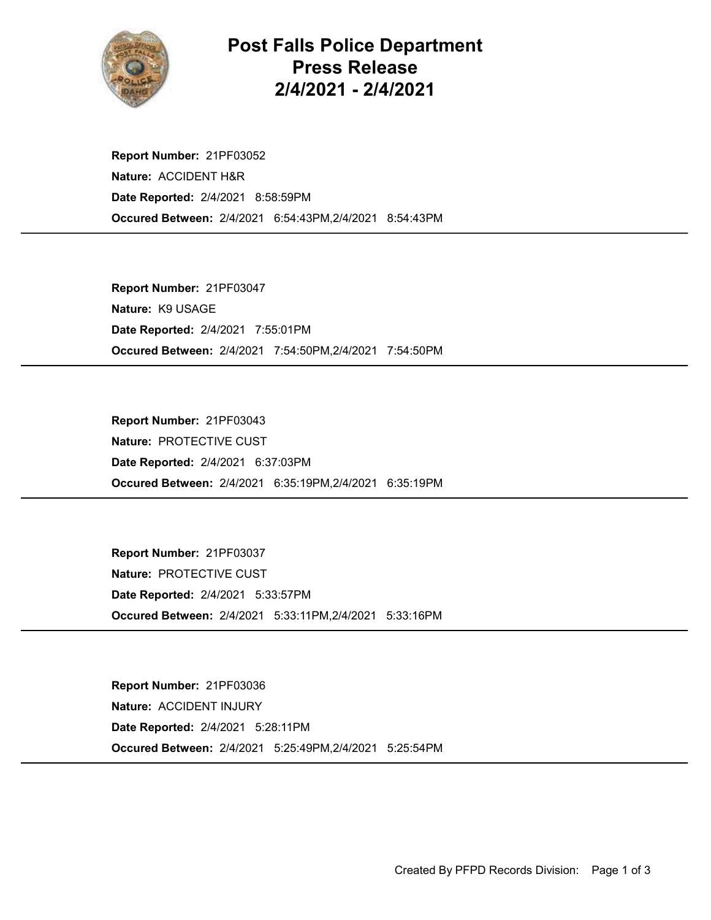

## Post Falls Police Department Press Release 2/4/2021 - 2/4/2021

Occured Between: 2/4/2021 6:54:43PM,2/4/2021 8:54:43PM Report Number: 21PF03052 Nature: ACCIDENT H&R Date Reported: 2/4/2021 8:58:59PM

Occured Between: 2/4/2021 7:54:50PM,2/4/2021 7:54:50PM Report Number: 21PF03047 Nature: K9 USAGE Date Reported: 2/4/2021 7:55:01PM

Occured Between: 2/4/2021 6:35:19PM,2/4/2021 6:35:19PM Report Number: 21PF03043 Nature: PROTECTIVE CUST Date Reported: 2/4/2021 6:37:03PM

Occured Between: 2/4/2021 5:33:11PM,2/4/2021 5:33:16PM Report Number: 21PF03037 Nature: PROTECTIVE CUST Date Reported: 2/4/2021 5:33:57PM

Occured Between: 2/4/2021 5:25:49PM,2/4/2021 5:25:54PM Report Number: 21PF03036 Nature: ACCIDENT INJURY Date Reported: 2/4/2021 5:28:11PM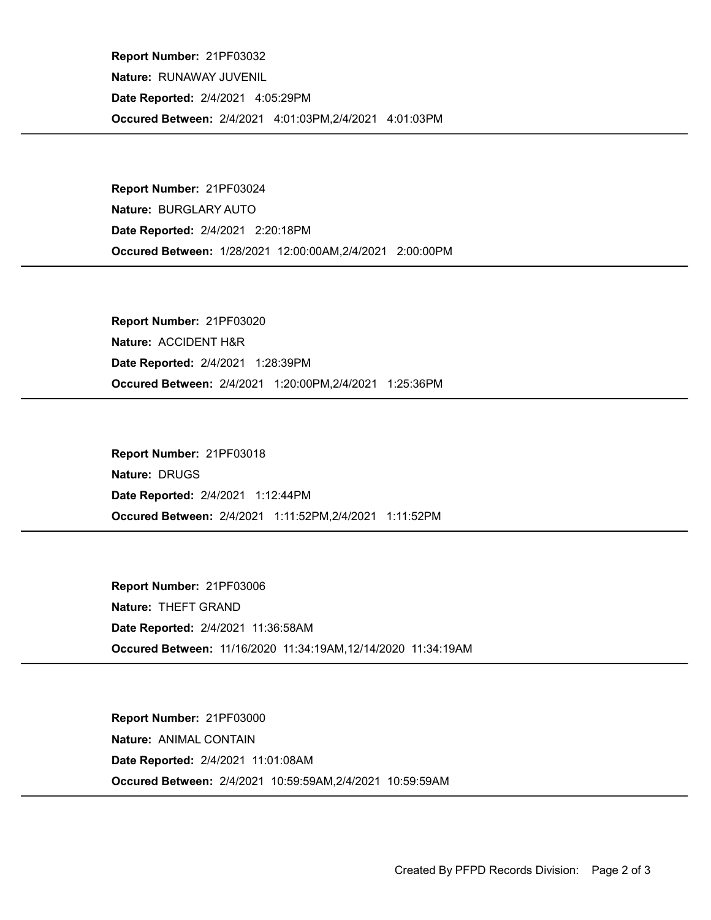Occured Between: 2/4/2021 4:01:03PM,2/4/2021 4:01:03PM Report Number: 21PF03032 Nature: RUNAWAY JUVENIL Date Reported: 2/4/2021 4:05:29PM

Occured Between: 1/28/2021 12:00:00AM,2/4/2021 2:00:00PM Report Number: 21PF03024 Nature: BURGLARY AUTO Date Reported: 2/4/2021 2:20:18PM

Occured Between: 2/4/2021 1:20:00PM,2/4/2021 1:25:36PM Report Number: 21PF03020 Nature: ACCIDENT H&R Date Reported: 2/4/2021 1:28:39PM

Occured Between: 2/4/2021 1:11:52PM,2/4/2021 1:11:52PM Report Number: 21PF03018 Nature: DRUGS Date Reported: 2/4/2021 1:12:44PM

Occured Between: 11/16/2020 11:34:19AM,12/14/2020 11:34:19AM Report Number: 21PF03006 Nature: THEFT GRAND Date Reported: 2/4/2021 11:36:58AM

Occured Between: 2/4/2021 10:59:59AM,2/4/2021 10:59:59AM Report Number: 21PF03000 Nature: ANIMAL CONTAIN Date Reported: 2/4/2021 11:01:08AM